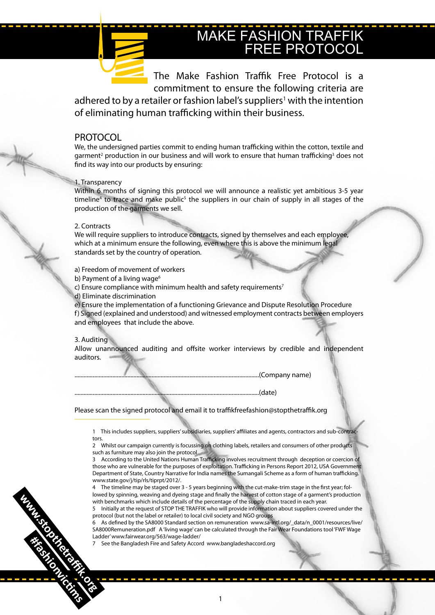# MAKE FASHION TRAFFIK FREE PROTOCOL

The Make Fashion Traffik Free Protocol is a commitment to ensure the following criteria are adhered to by a retailer or fashion label's suppliers<sup>1</sup> with the intention of eliminating human trafficking within their business.

### PROTOCOL PROTOCOL

We, the undersigned parties commit to ending human trafficking within the cotton, textile and garment<sup>2</sup> production in our business and will work to ensure that human trafficking<sup>3</sup> does not find its way into our products by ensuring:

#### 1. Transparency

Within 6 months of signing this protocol we will announce a realistic yet ambitious 3-5 year timeline<sup>4</sup> to trace and make public<sup>5</sup> the suppliers in our chain of supply in all stages of the production of the garments we sell.

#### 2. Contracts

We will require suppliers to introduce contracts, signed by themselves and each employee, which at a minimum ensure the following, even where this is above the minimum legal standards set by the country of operation.

a) Freedom of movement of workers

b) Payment of a living wage<sup>6</sup>

c) Ensure compliance with minimum health and safety requirements<sup>7</sup>

d) Eliminate discrimination

e) Ensure the implementation of a functioning Grievance and Dispute Resolution Procedure f) Signed (explained and understood) and witnessed employment contracts between employers and employees that include the above.

#### 3. Auditing

Allow unannounced auditing and offsite worker interviews by credible and independent auditors.

..........................................................................................................................(Company name)

#### Please scan the signed protocol and email it to traffikfreefashion@stopthetraffik.org

1 This includes suppliers, suppliers' subsidiaries, suppliers' affiliates and agents, contractors and sub-contractors.

..........................................................................................................................(date)

2 Whilst our campaign currently is focussing on clothing labels, retailers and consumers of other products such as furniture may also join the protocol

3 According to the United Nations Human Trafficking involves recruitment through deception or coercion of those who are vulnerable for the purposes of exploitation. Trafficking in Persons Report 2012, USA Government Department of State, Country Narrative for India names the Sumangali Scheme as a form of human trafficking. www.state.gov/j/tip/rls/tiprpt/2012/.

4 The timeline may be staged over 3 - 5 years beginning with the cut-make-trim stage in the first year; followed by spinning, weaving and dyeing stage and finally the harvest of cotton stage of a garment's production with benchmarks which include details of the percentage of the supply chain traced in each year.

5 Initially at the request of STOP THE TRAFFIK who will provide information about suppliers covered under the protocol (but not the label or retailer) to local civil society and NGO groups

6 As defined by the SA8000 Standard section on remuneration www.sa-intl.org/\_data/n\_0001/resources/live/ SA8000Remuneration.pdf A 'living wage' can be calculated through the Fair Wear Foundations tool 'FWF Wage Ladder' www.fairwear.org/563/wage-ladder/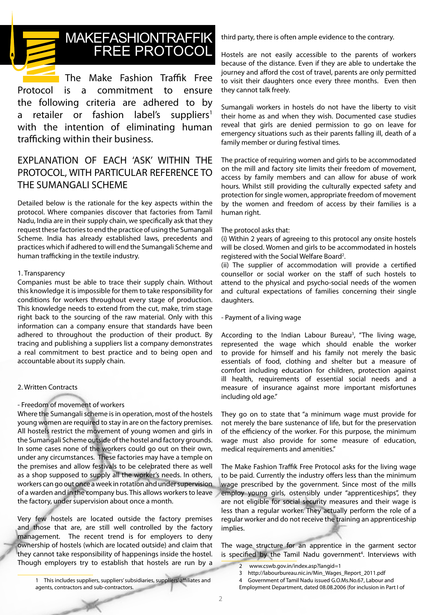

# MAKEFASHIONTRAFFIK FREE PROTOCOL

The Make Fashion Traffik Free Protocol is a commitment to ensure the following criteria are adhered to by a retailer or fashion label's suppliers<sup>1</sup> with the intention of eliminating human trafficking within their business.

### EXPLANATION OF EACH 'ASK' WITHIN THE PROTOCOL, WITH PARTICULAR REFERENCE TO THE SUMANGALI SCHEME

Detailed below is the rationale for the key aspects within the protocol. Where companies discover that factories from Tamil Nadu, India are in their supply chain, we specifically ask that they request these factories to end the practice of using the Sumangali Scheme. India has already established laws, precedents and practices which if adhered to will end the Sumangali Scheme and human trafficking in the textile industry.

#### 1. Transparency

Companies must be able to trace their supply chain. Without this knowledge it is impossible for them to take responsibility for conditions for workers throughout every stage of production. This knowledge needs to extend from the cut, make, trim stage right back to the sourcing of the raw material. Only with this information can a company ensure that standards have been adhered to throughout the production of their product. By tracing and publishing a suppliers list a company demonstrates a real commitment to best practice and to being open and accountable about its supply chain.

#### 2. Written Contracts

#### - Freedom of movement of workers

Where the Sumangali scheme is in operation, most of the hostels young women are required to stay in are on the factory premises. All hostels restrict the movement of young women and girls in the Sumangali Scheme outside of the hostel and factory grounds. In some cases none of the workers could go out on their own, under any circumstances. These factories may have a temple on the premises and allow festivals to be celebrated there as well as a shop supposed to supply all the worker's needs. In others, workers can go out once a week in rotation and under supervision of a warden and in the company bus. This allows workers to leave the factory, under supervision about once a month.

Very few hostels are located outside the factory premises and those that are, are still well controlled by the factory management. The recent trend is for employers to deny ownership of hostels (which are located outside) and claim that they cannot take responsibility of happenings inside the hostel. Though employers try to establish that hostels are run by a

third party, there is often ample evidence to the contrary.

Hostels are not easily accessible to the parents of workers because of the distance. Even if they are able to undertake the journey and afford the cost of travel, parents are only permitted to visit their daughters once every three months. Even then they cannot talk freely.

Sumangali workers in hostels do not have the liberty to visit their home as and when they wish. Documented case studies reveal that girls are denied permission to go on leave for emergency situations such as their parents falling ill, death of a family member or during festival times.

The practice of requiring women and girls to be accommodated on the mill and factory site limits their freedom of movement, access by family members and can allow for abuse of work hours. Whilst still providing the culturally expected safety and protection for single women, appropriate freedom of movement by the women and freedom of access by their families is a human right.

#### The protocol asks that:

(i) Within 2 years of agreeing to this protocol any onsite hostels will be closed. Women and girls to be accommodated in hostels registered with the Social Welfare Board<sup>2</sup>.

(ii) The supplier of accommodation will provide a certified counsellor or social worker on the staff of such hostels to attend to the physical and psycho-social needs of the women and cultural expectations of families concerning their single daughters.

#### - Payment of a living wage

According to the Indian Labour Bureau<sup>3</sup>, "The living wage, represented the wage which should enable the worker to provide for himself and his family not merely the basic essentials of food, clothing and shelter but a measure of comfort including education for children, protection against ill health, requirements of essential social needs and a measure of insurance against more important misfortunes including old age."

They go on to state that "a minimum wage must provide for not merely the bare sustenance of life, but for the preservation of the efficiency of the worker. For this purpose, the minimum wage must also provide for some measure of education, medical requirements and amenities."

The Make Fashion Traffik Free Protocol asks for the living wage to be paid. Currently the industry offers less than the minimum wage prescribed by the government. Since most of the mills employ young girls, ostensibly under "apprenticeships", they are not eligible for social security measures and their wage is less than a regular worker. They actually perform the role of a regular worker and do not receive the training an apprenticeship implies.

The wage structure for an apprentice in the garment sector is specified by the Tamil Nadu government<sup>4</sup>. Interviews with

4 Government of Tamil Nadu issued G.O.Ms.No.67, Labour and

1 This includes suppliers, suppliers' subsidiaries, suppliers' affiliates and agents, contractors and sub-contractors.

<sup>2</sup> www.cswb.gov.in/index.asp?langid=1

<sup>3</sup> http://labourbureau.nic.in/Min\_Wages\_Report\_2011.pdf

Employment Department, dated 08.08.2006 (for inclusion in Part I of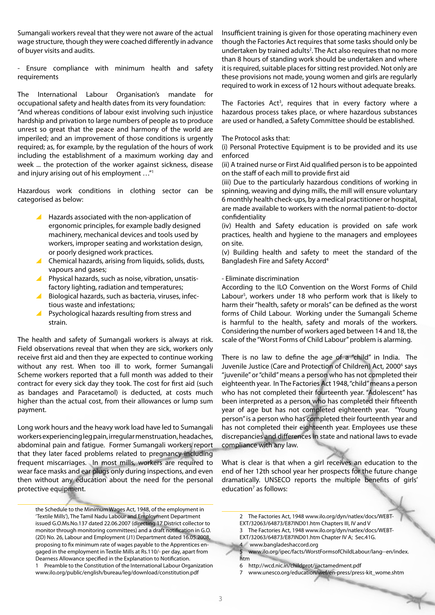Sumangali workers reveal that they were not aware of the actual wage structure, though they were coached differently in advance of buyer visits and audits.

- Ensure compliance with minimum health and safety requirements

The International Labour Organisation's mandate for occupational safety and health dates from its very foundation: "And whereas conditions of labour exist involving such injustice hardship and privation to large numbers of people as to produce unrest so great that the peace and harmony of the world are imperiled; and an improvement of those conditions is urgently required; as, for example, by the regulation of the hours of work including the establishment of a maximum working day and week ... the protection of the worker against sickness, disease and injury arising out of his employment …"1

Hazardous work conditions in clothing sector can be categorised as below:

- $\blacktriangle$  Hazards associated with the non-application of ergonomic principles, for example badly designed machinery, mechanical devices and tools used by workers, improper seating and workstation design, or poorly designed work practices.
- \ Chemical hazards, arising from liquids, solids, dusts, vapours and gases;
- Physical hazards, such as noise, vibration, unsatisfactory lighting, radiation and temperatures;
- \ Biological hazards, such as bacteria, viruses, infectious waste and infestations;
- ▲ Psychological hazards resulting from stress and strain.

The health and safety of Sumangali workers is always at risk. Field observations reveal that when they are sick, workers only receive first aid and then they are expected to continue working without any rest. When too ill to work, former Sumangali Scheme workers reported that a full month was added to their contract for every sick day they took. The cost for first aid (such as bandages and Paracetamol) is deducted, at costs much higher than the actual cost, from their allowances or lump sum payment.

Long work hours and the heavy work load have led to Sumangali workers experiencing leg pain, irregular menstruation, headaches, abdominal pain and fatigue. Former Sumangali workers report that they later faced problems related to pregnancy including frequent miscarriages. In most mills, workers are required to wear face masks and ear plugs only during inspections, and even then without any education about the need for the personal protective equipment.

the Schedule to the Minimum Wages Act, 1948, of the employment in 'Textile Mills'), The Tamil Nadu Labour and Employment Department issued G.O.Ms.No.137 dated 22.06.2007 (directing 17 District collector to monitor through monitoring committees) and a draft notification in G.O. (2D) No. 26, Labour and Employment (J1) Department dated 16.05.2008, proposing to fix minimum rate of wages payable to the Apprentices engaged in the employment in Textile Mills at Rs.110/- per day, apart from Dearness Allowance specified in the Explanation to Notification. 1 Preamble to the Constitution of the International Labour Organization

www.ilo.org/public/english/bureau/leg/download/constitution.pdf

Insufficient training is given for those operating machinery even though the Factories Act requires that some tasks should only be undertaken by trained adults<sup>2</sup>. The Act also requires that no more than 8 hours of standing work should be undertaken and where it is required, suitable places for sitting rest provided. Not only are these provisions not made, young women and girls are regularly required to work in excess of 12 hours without adequate breaks.

The Factories Act<sup>3</sup>, requires that in every factory where a hazardous process takes place, or where hazardous substances are used or handled, a Safety Committee should be established.

#### The Protocol asks that:

(i) Personal Protective Equipment is to be provided and its use enforced

(ii) A trained nurse or First Aid qualified person is to be appointed on the staff of each mill to provide first aid

(iii) Due to the particularly hazardous conditions of working in spinning, weaving and dying mills, the mill will ensure voluntary 6 monthly health check-ups, by a medical practitioner or hospital, are made available to workers with the normal patient-to-doctor confidentiality

(iv) Health and Safety education is provided on safe work practices, health and hygiene to the managers and employees on site.

(v) Building health and safety to meet the standard of the Bangladesh Fire and Safety Accord4

#### - Eliminate discrimination

According to the ILO Convention on the Worst Forms of Child Labour<sup>5</sup>, workers under 18 who perform work that is likely to harm their "health, safety or morals" can be defined as the worst forms of Child Labour. Working under the Sumangali Scheme is harmful to the health, safety and morals of the workers. Considering the number of workers aged between 14 and 18, the scale of the "Worst Forms of Child Labour" problem is alarming.

There is no law to define the age of a "child" in India. The Juvenile Justice (Care and Protection of Children) Act, 2000<sup>6</sup> says "juvenile" or "child" means a person who has not completed their eighteenth year. In The Factories Act 1948, "child" means a person who has not completed their fourteenth year. "Adolescent" has been interpreted as a person who has completed their fifteenth year of age but has not completed eighteenth year. "Young person" is a person who has completed their fourteenth year and has not completed their eighteenth year. Employees use these discrepancies and differences in state and national laws to evade compliance with any law.

What is clear is that when a girl receives an education to the end of her 12th school year her prospects for the future change dramatically. UNSECO reports the multiple benefits of girls' education<sup>7</sup> as follows:

- 2 The Factories Act, 1948 www.ilo.org/dyn/natlex/docs/WEBT-
- EXT/32063/64873/E87IND01.htm Chapters III, IV and V
- 3 The Factories Act, 1948 www.ilo.org/dyn/natlex/docs/WEBT-
- EXT/32063/64873/E87IND01.htm Chapter IV A; Sec.41G.
- 4 www.bangladeshaccord.org
- 5 www.ilo.org/ipec/facts/WorstFormsofChildLabour/lang--en/index. htm
- 6 http://wcd.nic.in/childprot/jjactamedment.pdf
- 7 www.unesco.org/education/wef/en-press/press-kit\_wome.shtm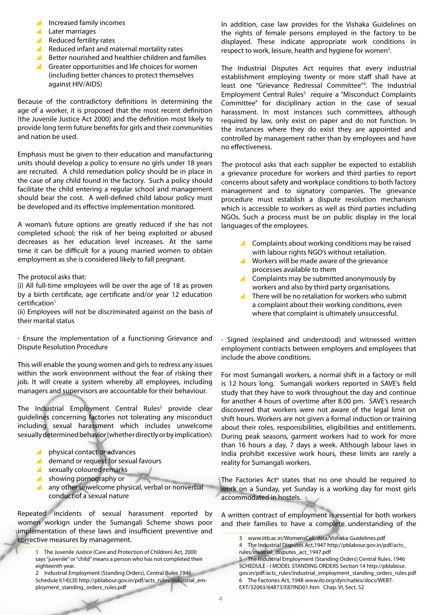- $\blacksquare$  Increased family incomes
- $\blacktriangle$  Later marriages
- $\blacktriangle$  Reduced fertility rates
- $\blacktriangle$  Reduced infant and maternal mortality rates
- $\blacktriangle$  Better nourished and healthier children and families
- $\triangle$  Greater opportunities and life choices for women (including better chances to protect themselves against HIV/AIDS)

Because of the contradictory definitions in determining the age of a worker, it is proposed that the most recent definition (the Juvenile Justice Act 2000) and the definition most likely to provide long term future benefits for girls and their communities and nation be used.

Emphasis must be given to their education and manufacturing units should develop a policy to ensure no girls under 18 years are recruited. A child remediation policy should be in place in the case of any child found in the factory. Such a policy should facilitate the child entering a regular school and management should bear the cost. A well-defined child labour policy must be developed and its effective implementation monitored.

A woman's future options are greatly reduced if she has not completed school; the risk of her being exploited or abused decreases as her education level increases. At the same time it can be difficult for a young married women to obtain employment as she is considered likely to fall pregnant.

The protocol asks that:

(i) All full-time employees will be over the age of 18 as proven by a birth certificate, age certificate and/or year 12 education  $c$ ertification<sup>1</sup>

(ii) Employees will not be discriminated against on the basis of their marital status

- Ensure the implementation of a functioning Grievance and Dispute Resolution Procedure

This will enable the young women and girls to redress any issues within the work environment without the fear of risking their job. It will create a system whereby all employees, including managers and supervisors are accountable for their behaviour.

The Industrial Employment Central Rules<sup>2</sup> provide clear guidelines concerning factories not tolerating any misconduct including sexual harassment which includes unwelcome sexually determined behavior (whether directly or by implication):

- $\triangle$  physical contact or advances
- $\triangle$  demand or request for sexual favours
- $\blacktriangle$  sexually coloured remarks
- $\blacktriangle$  showing pornography or
- $\blacktriangle$  any other unwelcome physical, verbal or nonverbal conduct of a sexual nature

Repeated incidents of sexual harassment reported by women workign under the Sumangali Scheme shows poor implementation of these laws and insufficient preventive and corrective measures by management.

2 Industrial Employment (Standing Orders), Central Rules 1946 - Schedule I(14)(3l) http://pblabour.gov.in/pdf/acts\_rules/industrial\_employment\_standing\_orders\_rules.pdf

In addition, case law provides for the Vishaka Guidelines on the rights of female persons employed in the factory to be displayed. These indicate appropriate work conditions in respect to work, leisure, health and hygiene for women<sup>3</sup>.

The Industrial Disputes Act requires that every industrial establishment employing twenty or more staff shall have at least one "Grievance Redressal Committee"4 . The Industrial Employment Central Rules<sup>5</sup> require a "Misconduct Complaints Committee" for disciplinary action in the case of sexual harassment. In most instances such committees, although required by law, only exist on paper and do not function. In the instances where they do exist they are appointed and controlled by management rather than by employees and have no effectiveness.

The protocol asks that each supplier be expected to establish a grievance procedure for workers and third parties to report concerns about safety and workplace conditions to both factory management and to signatory companies. The grievance procedure must establish a dispute resolution mechanism which is accessible to workers as well as third parties including NGOs. Such a process must be on public display in the local languages of the employees.

- \ Complaints about working conditions may be raised with labour rights NGO's without retaliation.
- \ Workers will be made aware of the grievance processes available to them
- \ Complaints may be submitted anonymously by workers and also by third party organisations.
- There will be no retaliation for workers who submit a complaint about their working conditions, even where that complaint is ultimately unsuccessful.

- Signed (explained and understood) and witnessed written employment contracts between employers and employees that include the above conditions.

For most Sumangali workers, a normal shift in a factory or mill is 12 hours long. Sumangali workers reported in SAVE's field study that they have to work throughout the day and continue for another 4 hours of overtime after 8.00 pm. SAVE's research discovered that workers were not aware of the legal limit on shift hours. Workers are not given a formal induction or training about their roles, responsibilities, eligibilities and entitlements. During peak seasons, garment workers had to work for more than 16 hours a day, 7 days a week. Although labour laws in India prohibit excessive work hours, these limits are rarely a reality for Sumangali workers.

The Factories Act<sup>6</sup> states that no one should be required to work on a Sunday, yet Sunday is a working day for most girls accommodated in hostels.

A written contract of employment is essential for both workers and their families to have a complete understanding of the

5 The Industrial Employment (Standing Orders) Central Rules, 1946 SCHEDULE - I MODEL STANDING ORDERS Section 14 http://pblabour. gov.in/pdf/acts\_rules/industrial\_employment\_standing\_orders\_rules.pdf 6 The Factories Act, 1948 www.ilo.org/dyn/natlex/docs/WEBT-EXT/32063/64873/E87IND01.htm Chap. VI, Sect. 52

<sup>1</sup> The Juvenile Justice (Care and Protection of Children) Act, 2000 says "juvenile" or "child" means a person who has not completed their eighteenth year.

<sup>3</sup> www.iitb.ac.in/WomensCell/data/Vishaka-Guidelines.pdf

<sup>4</sup> The Industrial Disputes Act,1947 http://pblabour.gov.in/pdf/acts\_ rules/inustrial\_disputes\_act\_1947.pdf